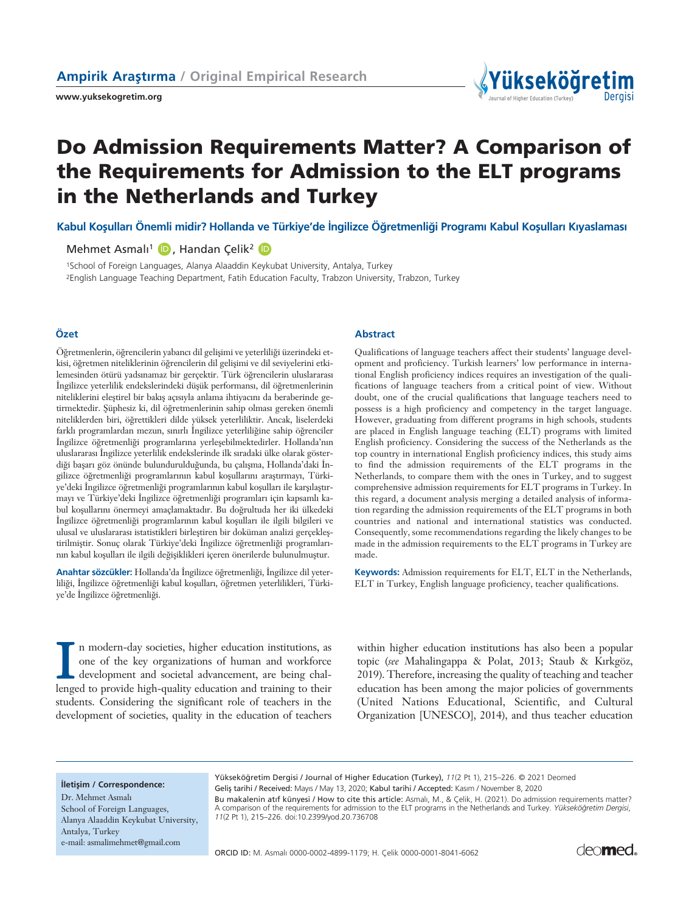**www.yuksekogretim.org**



# **Do Admission Requirements Matter? A Comparison of the Requirements for Admission to the ELT programs in the Netherlands and Turkey**

Kabul Kosulları Önemli midir? Hollanda ve Türkiye'de İngilizce Öğretmenliği Programı Kabul Kosulları Kıyaslaması

Mehmet Asmalı<sup>1</sup> (D), Handan Çelik<sup>2</sup> (D

1School of Foreign Languages, Alanya Alaaddin Keykubat University, Antalya, Turkey 2English Language Teaching Department, Fatih Education Faculty, Trabzon University, Trabzon, Turkey

Öğretmenlerin, öğrencilerin yabancı dil gelişimi ve yeterliliği üzerindeki etkisi, öğretmen niteliklerinin öğrencilerin dil gelişimi ve dil seviyelerini etkilemesinden ötürü yadsınamaz bir gerçektir. Türk öğrencilerin uluslararası İngilizce yeterlilik endekslerindeki düşük performansı, dil öğretmenlerinin niteliklerini eleştirel bir bakış açısıyla anlama ihtiyacını da beraberinde getirmektedir. Şüphesiz ki, dil öğretmenlerinin sahip olması gereken önemli niteliklerden biri, ö¤rettikleri dilde yüksek yeterliliktir. Ancak, liselerdeki farklı programlardan mezun, sınırlı İngilizce yeterliliğine sahip öğrenciler İngilizce öğretmenliği programlarına yerleşebilmektedirler. Hollanda'nın uluslararası İngilizce yeterlilik endekslerinde ilk sıradaki ülke olarak gösterdiği başarı göz önünde bulundurulduğunda, bu çalışma, Hollanda'daki İngilizce öğretmenliği programlarının kabul koşullarını araştırmayı, Türkiye'deki İngilizce öğretmenliği programlarının kabul koşulları ile karşılaştırmayı ve Türkiye'deki İngilizce öğretmenliği programları için kapsamlı kabul koşullarını önermeyi amaçlamaktadır. Bu doğrultuda her iki ülkedeki İngilizce öğretmenliği programlarının kabul koşulları ile ilgili bilgileri ve ulusal ve uluslararası istatistikleri birlestiren bir doküman analizi gerçeklestirilmiştir. Sonuç olarak Türkiye'deki İngilizce öğretmenliği programlarının kabul koşulları ile ilgili değişiklikleri içeren önerilerde bulunulmuştur.

**Anahtar sözcükler:** Hollanda'da İngilizce öğretmenliği, İngilizce dil yeterliliği, İngilizce öğretmenliği kabul koşulları, öğretmen yeterlilikleri, Türkiye'de İngilizce öğretmenliği.

#### **Özet Abstract**

Qualifications of language teachers affect their students' language development and proficiency. Turkish learners' low performance in international English proficiency indices requires an investigation of the qualifications of language teachers from a critical point of view. Without doubt, one of the crucial qualifications that language teachers need to possess is a high proficiency and competency in the target language. However, graduating from different programs in high schools, students are placed in English language teaching (ELT) programs with limited English proficiency. Considering the success of the Netherlands as the top country in international English proficiency indices, this study aims to find the admission requirements of the ELT programs in the Netherlands, to compare them with the ones in Turkey, and to suggest comprehensive admission requirements for ELT programs in Turkey. In this regard, a document analysis merging a detailed analysis of information regarding the admission requirements of the ELT programs in both countries and national and international statistics was conducted. Consequently, some recommendations regarding the likely changes to be made in the admission requirements to the ELT programs in Turkey are made.

**Keywords:** Admission requirements for ELT, ELT in the Netherlands, ELT in Turkey, English language proficiency, teacher qualifications.

In modern-day societies, higher education institutions, as<br>one of the key organizations of human and workforce<br>development and societal advancement, are being chal-<br>lenged to provide high-quality education and training to n modern-day societies, higher education institutions, as one of the key organizations of human and workforce development and societal advancement, are being chalstudents. Considering the significant role of teachers in the development of societies, quality in the education of teachers within higher education institutions has also been a popular topic (see Mahalingappa & Polat, 2013; Staub & Kırkgöz, 2019). Therefore, increasing the quality of teaching and teacher education has been among the major policies of governments (United Nations Educational, Scientific, and Cultural Organization [UNESCO], 2014), and thus teacher education

#### **iletisim / Correspondence:**

Dr. Mehmet Asmalı School of Foreign Languages, Alanya Alaaddin Keykubat University, Antalya, Turkey e-mail: asmalimehmet@gmail.com

Yükseköğretim Dergisi / Journal of Higher Education (Turkey), 11(2 Pt 1), 215–226. @ 2021 Deomed Gelis tarihi / Received: Mayıs / May 13, 2020; Kabul tarihi / Accepted: Kasım / November 8, 2020

Bu makalenin atıf künyesi / How to cite this article: Asmalı, M., & Çelik, H. (2021). Do admission requirements matter?

A comparison of the requirements for admission to the ELT programs in the Netherlands and Turkey. *Yüksekö¤retim Dergisi*, *11*(2 Pt 1), 215–226. doi:10.2399/yod.20.736708

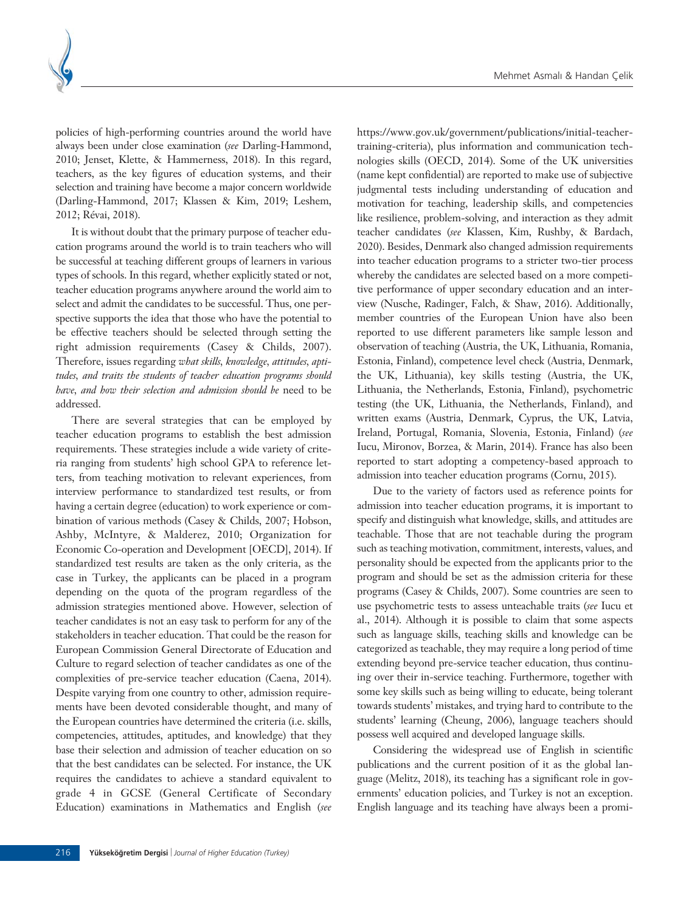

policies of high-performing countries around the world have always been under close examination (*see* Darling-Hammond, 2010; Jenset, Klette, & Hammerness, 2018). In this regard, teachers, as the key figures of education systems, and their selection and training have become a major concern worldwide (Darling-Hammond, 2017; Klassen & Kim, 2019; Leshem, 2012; Révai, 2018).

It is without doubt that the primary purpose of teacher education programs around the world is to train teachers who will be successful at teaching different groups of learners in various types of schools. In this regard, whether explicitly stated or not, teacher education programs anywhere around the world aim to select and admit the candidates to be successful. Thus, one perspective supports the idea that those who have the potential to be effective teachers should be selected through setting the right admission requirements (Casey & Childs, 2007). Therefore, issues regarding *what skills, knowledge, attitudes, aptitudes, and traits the students of teacher education programs should have, and how their selection and admission should be* need to be addressed.

There are several strategies that can be employed by teacher education programs to establish the best admission requirements. These strategies include a wide variety of criteria ranging from students' high school GPA to reference letters, from teaching motivation to relevant experiences, from interview performance to standardized test results, or from having a certain degree (education) to work experience or combination of various methods (Casey & Childs, 2007; Hobson, Ashby, McIntyre, & Malderez, 2010; Organization for Economic Co-operation and Development [OECD], 2014). If standardized test results are taken as the only criteria, as the case in Turkey, the applicants can be placed in a program depending on the quota of the program regardless of the admission strategies mentioned above. However, selection of teacher candidates is not an easy task to perform for any of the stakeholders in teacher education. That could be the reason for European Commission General Directorate of Education and Culture to regard selection of teacher candidates as one of the complexities of pre-service teacher education (Caena, 2014). Despite varying from one country to other, admission requirements have been devoted considerable thought, and many of the European countries have determined the criteria (i.e. skills, competencies, attitudes, aptitudes, and knowledge) that they base their selection and admission of teacher education on so that the best candidates can be selected. For instance, the UK requires the candidates to achieve a standard equivalent to grade 4 in GCSE (General Certificate of Secondary Education) examinations in Mathematics and English (*see* https://www.gov.uk/government/publications/initial-teachertraining-criteria), plus information and communication technologies skills (OECD, 2014). Some of the UK universities (name kept confidential) are reported to make use of subjective judgmental tests including understanding of education and motivation for teaching, leadership skills, and competencies like resilience, problem-solving, and interaction as they admit teacher candidates (*see* Klassen, Kim, Rushby, & Bardach, 2020). Besides, Denmark also changed admission requirements into teacher education programs to a stricter two-tier process whereby the candidates are selected based on a more competitive performance of upper secondary education and an interview (Nusche, Radinger, Falch, & Shaw, 2016). Additionally, member countries of the European Union have also been reported to use different parameters like sample lesson and observation of teaching (Austria, the UK, Lithuania, Romania, Estonia, Finland), competence level check (Austria, Denmark, the UK, Lithuania), key skills testing (Austria, the UK, Lithuania, the Netherlands, Estonia, Finland), psychometric testing (the UK, Lithuania, the Netherlands, Finland), and written exams (Austria, Denmark, Cyprus, the UK, Latvia, Ireland, Portugal, Romania, Slovenia, Estonia, Finland) (*see* Iucu, Mironov, Borzea, & Marin, 2014). France has also been reported to start adopting a competency-based approach to admission into teacher education programs (Cornu, 2015).

Due to the variety of factors used as reference points for admission into teacher education programs, it is important to specify and distinguish what knowledge, skills, and attitudes are teachable. Those that are not teachable during the program such as teaching motivation, commitment, interests, values, and personality should be expected from the applicants prior to the program and should be set as the admission criteria for these programs (Casey & Childs, 2007). Some countries are seen to use psychometric tests to assess unteachable traits (*see* Iucu et al., 2014). Although it is possible to claim that some aspects such as language skills, teaching skills and knowledge can be categorized as teachable, they may require a long period of time extending beyond pre-service teacher education, thus continuing over their in-service teaching. Furthermore, together with some key skills such as being willing to educate, being tolerant towards students' mistakes, and trying hard to contribute to the students' learning (Cheung, 2006), language teachers should possess well acquired and developed language skills.

Considering the widespread use of English in scientific publications and the current position of it as the global language (Melitz, 2018), its teaching has a significant role in governments' education policies, and Turkey is not an exception. English language and its teaching have always been a promi-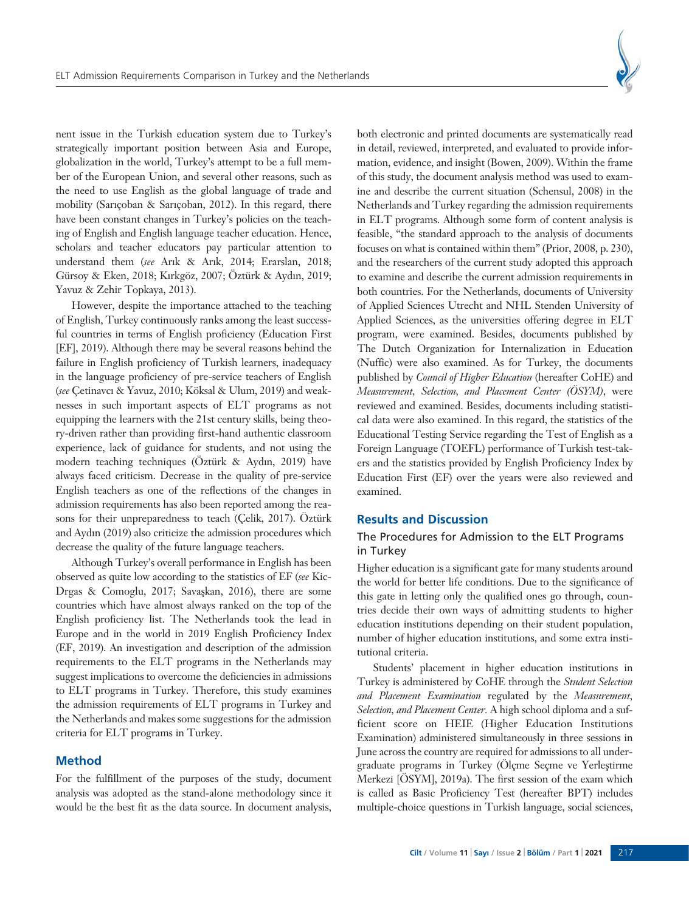

nent issue in the Turkish education system due to Turkey's strategically important position between Asia and Europe, globalization in the world, Turkey's attempt to be a full member of the European Union, and several other reasons, such as the need to use English as the global language of trade and mobility (Sarıçoban & Sarıçoban, 2012). In this regard, there have been constant changes in Turkey's policies on the teaching of English and English language teacher education. Hence, scholars and teacher educators pay particular attention to understand them (see Arık & Arık, 2014; Erarslan, 2018; Gürsoy & Eken, 2018; Kırkgöz, 2007; Öztürk & Aydın, 2019; Yavuz & Zehir Topkaya, 2013).

However, despite the importance attached to the teaching of English, Turkey continuously ranks among the least successful countries in terms of English proficiency (Education First [EF], 2019). Although there may be several reasons behind the failure in English proficiency of Turkish learners, inadequacy in the language proficiency of pre-service teachers of English (see Çetinavcı & Yavuz, 2010; Köksal & Ulum, 2019) and weaknesses in such important aspects of ELT programs as not equipping the learners with the 21st century skills, being theory-driven rather than providing first-hand authentic classroom experience, lack of guidance for students, and not using the modern teaching techniques (Öztürk & Aydın, 2019) have always faced criticism. Decrease in the quality of pre-service English teachers as one of the reflections of the changes in admission requirements has also been reported among the reasons for their unpreparedness to teach (Çelik, 2017). Öztürk and Aydın (2019) also criticize the admission procedures which decrease the quality of the future language teachers.

Although Turkey's overall performance in English has been observed as quite low according to the statistics of EF (*see* Kic-Drgas & Comoglu, 2017; Savaşkan, 2016), there are some countries which have almost always ranked on the top of the English proficiency list. The Netherlands took the lead in Europe and in the world in 2019 English Proficiency Index (EF, 2019). An investigation and description of the admission requirements to the ELT programs in the Netherlands may suggest implications to overcome the deficiencies in admissions to ELT programs in Turkey. Therefore, this study examines the admission requirements of ELT programs in Turkey and the Netherlands and makes some suggestions for the admission criteria for ELT programs in Turkey.

#### **Method**

For the fulfillment of the purposes of the study, document analysis was adopted as the stand-alone methodology since it would be the best fit as the data source. In document analysis,

both electronic and printed documents are systematically read in detail, reviewed, interpreted, and evaluated to provide information, evidence, and insight (Bowen, 2009). Within the frame of this study, the document analysis method was used to examine and describe the current situation (Schensul, 2008) in the Netherlands and Turkey regarding the admission requirements in ELT programs. Although some form of content analysis is feasible, "the standard approach to the analysis of documents focuses on what is contained within them" (Prior, 2008, p. 230), and the researchers of the current study adopted this approach to examine and describe the current admission requirements in both countries. For the Netherlands, documents of University of Applied Sciences Utrecht and NHL Stenden University of Applied Sciences, as the universities offering degree in ELT program, were examined. Besides, documents published by The Dutch Organization for Internalization in Education (Nuffic) were also examined. As for Turkey, the documents published by *Council of Higher Education* (hereafter CoHE) and *Measurement, Selection, and Placement Center (ÖSYM)*, were reviewed and examined. Besides, documents including statistical data were also examined. In this regard, the statistics of the Educational Testing Service regarding the Test of English as a Foreign Language (TOEFL) performance of Turkish test-takers and the statistics provided by English Proficiency Index by Education First (EF) over the years were also reviewed and examined.

# **Results and Discussion**

# The Procedures for Admission to the ELT Programs in Turkey

Higher education is a significant gate for many students around the world for better life conditions. Due to the significance of this gate in letting only the qualified ones go through, countries decide their own ways of admitting students to higher education institutions depending on their student population, number of higher education institutions, and some extra institutional criteria.

Students' placement in higher education institutions in Turkey is administered by CoHE through the *Student Selection and Placement Examination* regulated by the *Measurement, Selection, and Placement Center.* A high school diploma and a sufficient score on HEIE (Higher Education Institutions Examination) administered simultaneously in three sessions in June across the country are required for admissions to all undergraduate programs in Turkey (Ölçme Seçme ve Yerleştirme Merkezi [ÖSYM], 2019a). The first session of the exam which is called as Basic Proficiency Test (hereafter BPT) includes multiple-choice questions in Turkish language, social sciences,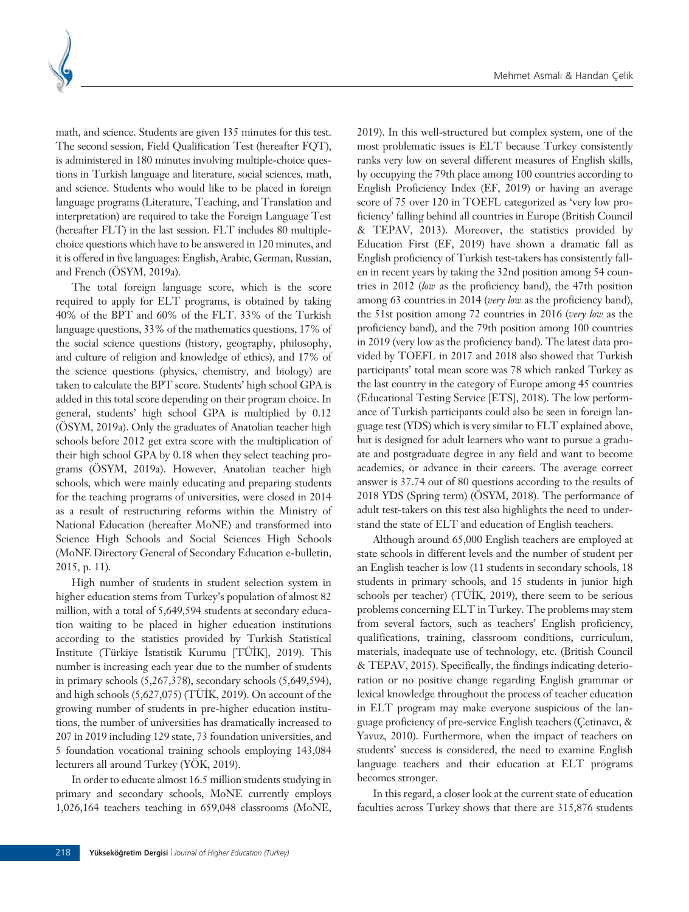

math, and science. Students are given 135 minutes for this test. The second session, Field Qualification Test (hereafter FQT), is administered in 180 minutes involving multiple-choice questions in Turkish language and literature, social sciences, math, and science. Students who would like to be placed in foreign language programs (Literature, Teaching, and Translation and interpretation) are required to take the Foreign Language Test (hereafter FLT) in the last session. FLT includes 80 multiplechoice questions which have to be answered in 120 minutes, and it is offered in five languages: English, Arabic, German, Russian, and French (ÖSYM, 2019a).

The total foreign language score, which is the score required to apply for ELT programs, is obtained by taking 40% of the BPT and 60% of the FLT. 33% of the Turkish language questions, 33% of the mathematics questions, 17% of the social science questions (history, geography, philosophy, and culture of religion and knowledge of ethics), and 17% of the science questions (physics, chemistry, and biology) are taken to calculate the BPT score. Students' high school GPA is added in this total score depending on their program choice. In general, students' high school GPA is multiplied by 0.12 (ÖSYM, 2019a). Only the graduates of Anatolian teacher high schools before 2012 get extra score with the multiplication of their high school GPA by 0.18 when they select teaching programs (ÖSYM, 2019a). However, Anatolian teacher high schools, which were mainly educating and preparing students for the teaching programs of universities, were closed in 2014 as a result of restructuring reforms within the Ministry of National Education (hereafter MoNE) and transformed into Science High Schools and Social Sciences High Schools (MoNE Directory General of Secondary Education e-bulletin, 2015, p. 11).

High number of students in student selection system in higher education stems from Turkey's population of almost 82 million, with a total of 5,649,594 students at secondary education waiting to be placed in higher education institutions according to the statistics provided by Turkish Statistical Institute (Türkiye İstatistik Kurumu [TÜİK], 2019). This number is increasing each year due to the number of students in primary schools (5,267,378), secondary schools (5,649,594), and high schools  $(5,627,075)$  (TÜİK, 2019). On account of the growing number of students in pre-higher education institutions, the number of universities has dramatically increased to 207 in 2019 including 129 state, 73 foundation universities, and 5 foundation vocational training schools employing 143,084 lecturers all around Turkey (YÖK, 2019).

In order to educate almost 16.5 million students studying in primary and secondary schools, MoNE currently employs 1,026,164 teachers teaching in 659,048 classrooms (MoNE,

2019). In this well-structured but complex system, one of the most problematic issues is ELT because Turkey consistently ranks very low on several different measures of English skills, by occupying the 79th place among 100 countries according to English Proficiency Index (EF, 2019) or having an average score of 75 over 120 in TOEFL categorized as 'very low proficiency' falling behind all countries in Europe (British Council & TEPAV, 2013). Moreover, the statistics provided by Education First (EF, 2019) have shown a dramatic fall as English proficiency of Turkish test-takers has consistently fallen in recent years by taking the 32nd position among 54 countries in 2012 (*low* as the proficiency band), the 47th position among 63 countries in 2014 (*very low* as the proficiency band), the 51st position among 72 countries in 2016 (*very low* as the proficiency band), and the 79th position among 100 countries in 2019 (very low as the proficiency band). The latest data provided by TOEFL in 2017 and 2018 also showed that Turkish participants' total mean score was 78 which ranked Turkey as the last country in the category of Europe among 45 countries (Educational Testing Service [ETS], 2018). The low performance of Turkish participants could also be seen in foreign language test (YDS) which is very similar to FLT explained above, but is designed for adult learners who want to pursue a graduate and postgraduate degree in any field and want to become academics, or advance in their careers. The average correct answer is 37.74 out of 80 questions according to the results of 2018 YDS (Spring term) (ÖSYM, 2018). The performance of adult test-takers on this test also highlights the need to understand the state of ELT and education of English teachers.

Although around 65,000 English teachers are employed at state schools in different levels and the number of student per an English teacher is low (11 students in secondary schools, 18 students in primary schools, and 15 students in junior high schools per teacher) (TÜİK, 2019), there seem to be serious problems concerning ELT in Turkey. The problems may stem from several factors, such as teachers' English proficiency, qualifications, training, classroom conditions, curriculum, materials, inadequate use of technology, etc. (British Council & TEPAV, 2015). Specifically, the findings indicating deterioration or no positive change regarding English grammar or lexical knowledge throughout the process of teacher education in ELT program may make everyone suspicious of the language proficiency of pre-service English teachers (Çetinavcı, & Yavuz, 2010). Furthermore, when the impact of teachers on students' success is considered, the need to examine English language teachers and their education at ELT programs becomes stronger.

In this regard, a closer look at the current state of education faculties across Turkey shows that there are 315,876 students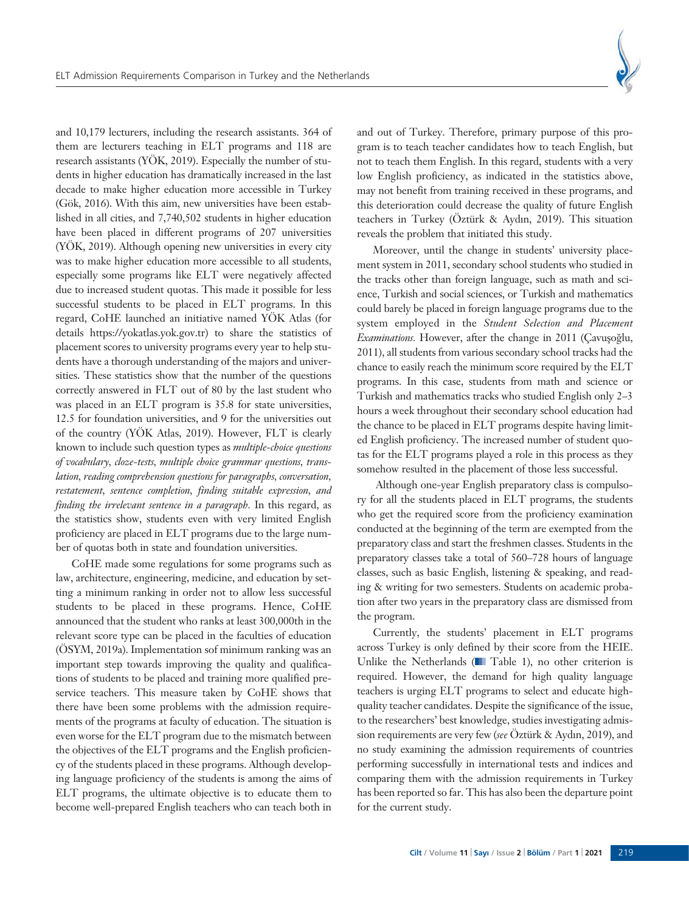

and 10,179 lecturers, including the research assistants. 364 of them are lecturers teaching in ELT programs and 118 are research assistants (YÖK, 2019). Especially the number of students in higher education has dramatically increased in the last decade to make higher education more accessible in Turkey (Gök, 2016). With this aim, new universities have been established in all cities, and 7,740,502 students in higher education have been placed in different programs of 207 universities (YÖK, 2019). Although opening new universities in every city was to make higher education more accessible to all students, especially some programs like ELT were negatively affected due to increased student quotas. This made it possible for less successful students to be placed in ELT programs. In this regard, CoHE launched an initiative named YÖK Atlas (for details https://yokatlas.yok.gov.tr) to share the statistics of placement scores to university programs every year to help students have a thorough understanding of the majors and universities. These statistics show that the number of the questions correctly answered in FLT out of 80 by the last student who was placed in an ELT program is 35.8 for state universities, 12.5 for foundation universities, and 9 for the universities out of the country (YÖK Atlas, 2019). However, FLT is clearly known to include such question types as *multiple-choice questions of vocabulary, cloze-tests, multiple choice grammar questions, translation, reading comprehension questions for paragraphs, conversation, restatement, sentence completion, finding suitable expression, and finding the irrelevant sentence in a paragraph.* In this regard, as the statistics show, students even with very limited English proficiency are placed in ELT programs due to the large number of quotas both in state and foundation universities.

CoHE made some regulations for some programs such as law, architecture, engineering, medicine, and education by setting a minimum ranking in order not to allow less successful students to be placed in these programs. Hence, CoHE announced that the student who ranks at least 300,000th in the relevant score type can be placed in the faculties of education (ÖSYM, 2019a). Implementation sof minimum ranking was an important step towards improving the quality and qualifications of students to be placed and training more qualified preservice teachers. This measure taken by CoHE shows that there have been some problems with the admission requirements of the programs at faculty of education. The situation is even worse for the ELT program due to the mismatch between the objectives of the ELT programs and the English proficiency of the students placed in these programs. Although developing language proficiency of the students is among the aims of ELT programs, the ultimate objective is to educate them to become well-prepared English teachers who can teach both in

and out of Turkey. Therefore, primary purpose of this program is to teach teacher candidates how to teach English, but not to teach them English. In this regard, students with a very low English proficiency, as indicated in the statistics above, may not benefit from training received in these programs, and this deterioration could decrease the quality of future English teachers in Turkey (Öztürk & Aydın, 2019). This situation reveals the problem that initiated this study.

Moreover, until the change in students' university placement system in 2011, secondary school students who studied in the tracks other than foreign language, such as math and science, Turkish and social sciences, or Turkish and mathematics could barely be placed in foreign language programs due to the system employed in the *Student Selection and Placement Examinations.* However, after the change in 2011 (Çavuşoğlu, 2011), all students from various secondary school tracks had the chance to easily reach the minimum score required by the ELT programs. In this case, students from math and science or Turkish and mathematics tracks who studied English only 2–3 hours a week throughout their secondary school education had the chance to be placed in ELT programs despite having limited English proficiency. The increased number of student quotas for the ELT programs played a role in this process as they somehow resulted in the placement of those less successful.

Although one-year English preparatory class is compulsory for all the students placed in ELT programs, the students who get the required score from the proficiency examination conducted at the beginning of the term are exempted from the preparatory class and start the freshmen classes. Students in the preparatory classes take a total of 560–728 hours of language classes, such as basic English, listening & speaking, and reading & writing for two semesters. Students on academic probation after two years in the preparatory class are dismissed from the program.

Currently, the students' placement in ELT programs across Turkey is only defined by their score from the HEIE. Unlike the Netherlands ( $\blacksquare$  Table 1), no other criterion is required. However, the demand for high quality language teachers is urging ELT programs to select and educate highquality teacher candidates. Despite the significance of the issue, to the researchers' best knowledge, studies investigating admission requirements are very few (see Öztürk & Aydın, 2019), and no study examining the admission requirements of countries performing successfully in international tests and indices and comparing them with the admission requirements in Turkey has been reported so far. This has also been the departure point for the current study.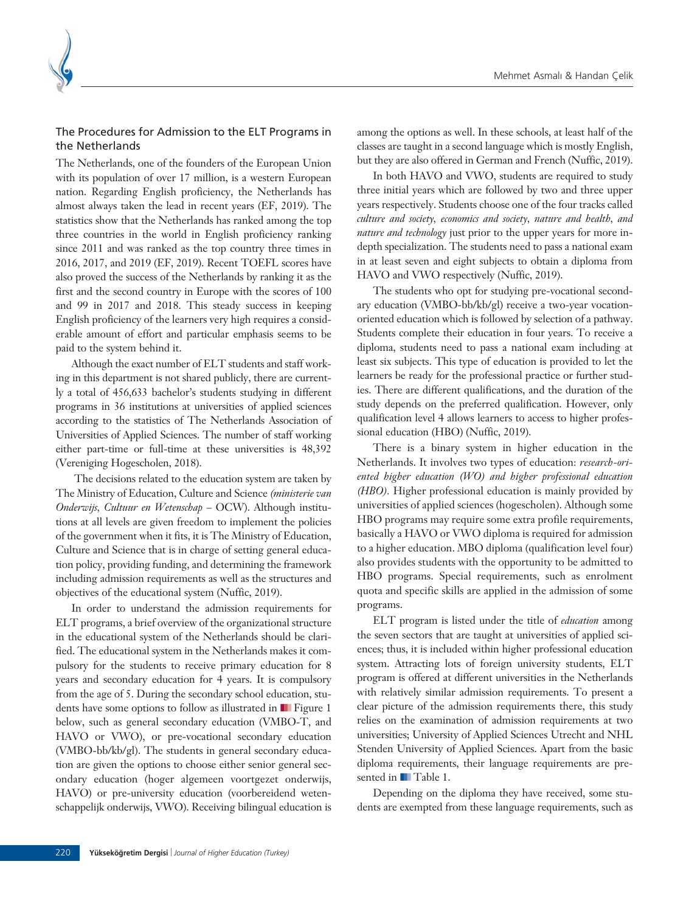

# The Procedures for Admission to the ELT Programs in the Netherlands

The Netherlands, one of the founders of the European Union with its population of over 17 million, is a western European nation. Regarding English proficiency, the Netherlands has almost always taken the lead in recent years (EF, 2019). The statistics show that the Netherlands has ranked among the top three countries in the world in English proficiency ranking since 2011 and was ranked as the top country three times in 2016, 2017, and 2019 (EF, 2019). Recent TOEFL scores have also proved the success of the Netherlands by ranking it as the first and the second country in Europe with the scores of 100 and 99 in 2017 and 2018. This steady success in keeping English proficiency of the learners very high requires a considerable amount of effort and particular emphasis seems to be paid to the system behind it.

Although the exact number of ELT students and staff working in this department is not shared publicly, there are currently a total of 456,633 bachelor's students studying in different programs in 36 institutions at universities of applied sciences according to the statistics of The Netherlands Association of Universities of Applied Sciences. The number of staff working either part-time or full-time at these universities is 48,392 (Vereniging Hogescholen, 2018).

The decisions related to the education system are taken by The Ministry of Education, Culture and Science *(ministerie van Onderwijs, Cultuur en Wetenschap* – OCW). Although institutions at all levels are given freedom to implement the policies of the government when it fits, it is The Ministry of Education, Culture and Science that is in charge of setting general education policy, providing funding, and determining the framework including admission requirements as well as the structures and objectives of the educational system (Nuffic, 2019).

In order to understand the admission requirements for ELT programs, a brief overview of the organizational structure in the educational system of the Netherlands should be clarified. The educational system in the Netherlands makes it compulsory for the students to receive primary education for 8 years and secondary education for 4 years. It is compulsory from the age of 5. During the secondary school education, students have some options to follow as illustrated in **■** Figure 1 below, such as general secondary education (VMBO-T, and HAVO or VWO), or pre-vocational secondary education (VMBO-bb/kb/gl). The students in general secondary education are given the options to choose either senior general secondary education (hoger algemeen voortgezet onderwijs, HAVO) or pre-university education (voorbereidend wetenschappelijk onderwijs, VWO). Receiving bilingual education is among the options as well. In these schools, at least half of the classes are taught in a second language which is mostly English, but they are also offered in German and French (Nuffic, 2019).

In both HAVO and VWO, students are required to study three initial years which are followed by two and three upper years respectively. Students choose one of the four tracks called *culture and society, economics and society, nature and health, and nature and technology* just prior to the upper years for more indepth specialization. The students need to pass a national exam in at least seven and eight subjects to obtain a diploma from HAVO and VWO respectively (Nuffic, 2019).

The students who opt for studying pre-vocational secondary education (VMBO-bb/kb/gl) receive a two-year vocationoriented education which is followed by selection of a pathway. Students complete their education in four years. To receive a diploma, students need to pass a national exam including at least six subjects. This type of education is provided to let the learners be ready for the professional practice or further studies. There are different qualifications, and the duration of the study depends on the preferred qualification. However, only qualification level 4 allows learners to access to higher professional education (HBO) (Nuffic, 2019).

There is a binary system in higher education in the Netherlands. It involves two types of education: *research-oriented higher education (WO) and higher professional education (HBO).* Higher professional education is mainly provided by universities of applied sciences (hogescholen). Although some HBO programs may require some extra profile requirements, basically a HAVO or VWO diploma is required for admission to a higher education. MBO diploma (qualification level four) also provides students with the opportunity to be admitted to HBO programs. Special requirements, such as enrolment quota and specific skills are applied in the admission of some programs.

ELT program is listed under the title of *education* among the seven sectors that are taught at universities of applied sciences; thus, it is included within higher professional education system. Attracting lots of foreign university students, ELT program is offered at different universities in the Netherlands with relatively similar admission requirements. To present a clear picture of the admission requirements there, this study relies on the examination of admission requirements at two universities; University of Applied Sciences Utrecht and NHL Stenden University of Applied Sciences. Apart from the basic diploma requirements, their language requirements are presented in **T** Table 1.

Depending on the diploma they have received, some students are exempted from these language requirements, such as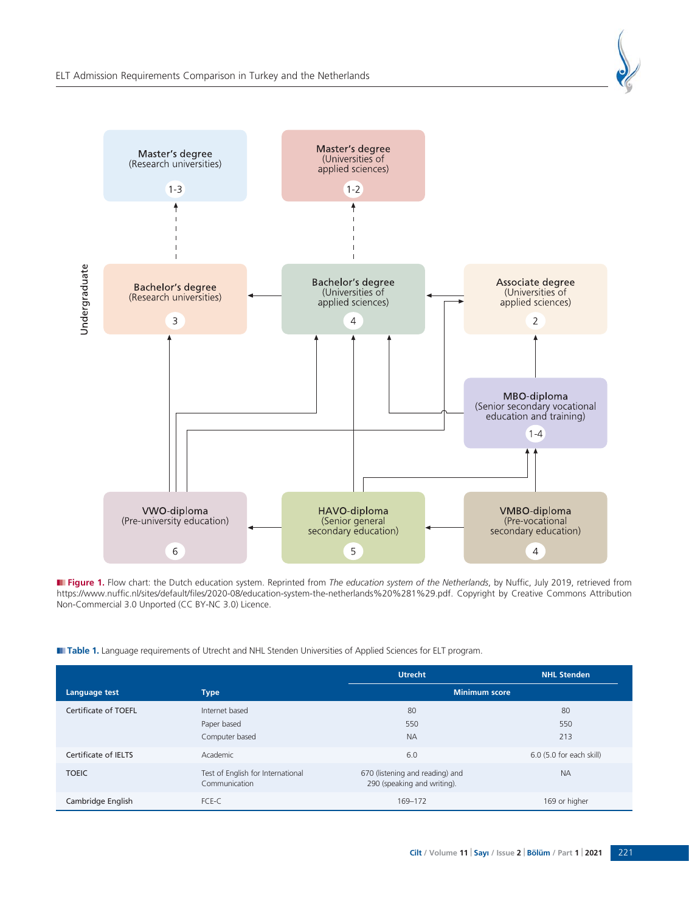

■ Figure 1. Flow chart: the Dutch education system. Reprinted from *The education system of the Netherlands*, by Nuffic, July 2019, retrieved from https://www.nuffic.nl/sites/default/files/2020-08/education-system-the-netherlands%20%281%29.pdf. Copyright by Creative Commons Attribution Non-Commercial 3.0 Unported (CC BY-NC 3.0) Licence.

**III Table 1.** Language requirements of Utrecht and NHL Stenden Universities of Applied Sciences for ELT program.

|                      |                                                    | <b>Utrecht</b>                                                 | <b>NHL Stenden</b>       |
|----------------------|----------------------------------------------------|----------------------------------------------------------------|--------------------------|
| Language test        | <b>Type</b>                                        | <b>Minimum score</b>                                           |                          |
| Certificate of TOEFL | Internet based                                     | 80                                                             | 80                       |
|                      | Paper based                                        | 550                                                            | 550                      |
|                      | Computer based                                     | <b>NA</b>                                                      | 213                      |
| Certificate of IELTS | Academic                                           | 6.0                                                            | 6.0 (5.0 for each skill) |
| <b>TOEIC</b>         | Test of English for International<br>Communication | 670 (listening and reading) and<br>290 (speaking and writing). | <b>NA</b>                |
| Cambridge English    | FCE-C                                              | 169-172                                                        | 169 or higher            |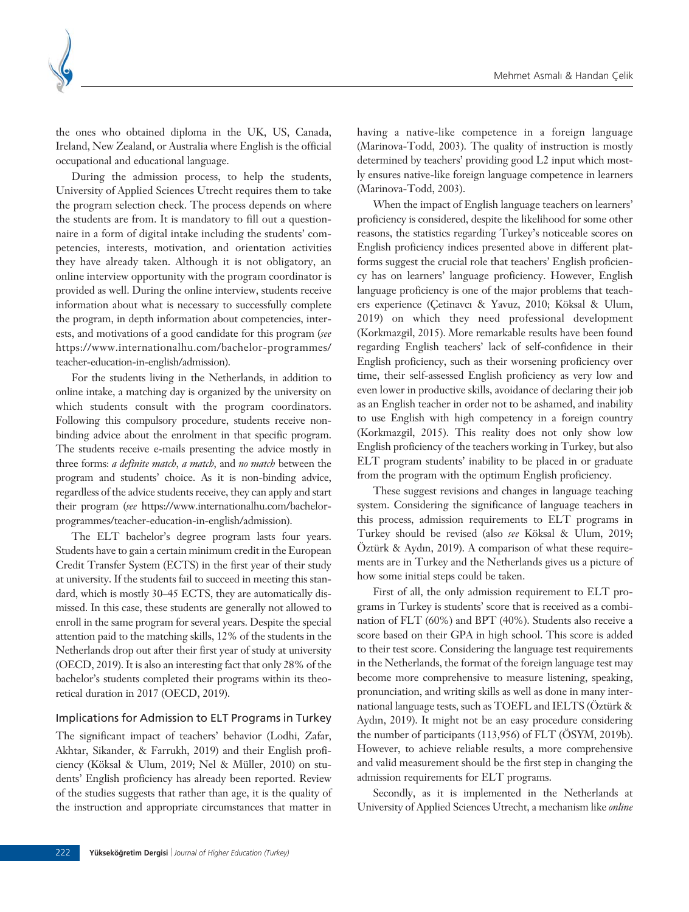

the ones who obtained diploma in the UK, US, Canada, Ireland, New Zealand, or Australia where English is the official occupational and educational language.

During the admission process, to help the students, University of Applied Sciences Utrecht requires them to take the program selection check. The process depends on where the students are from. It is mandatory to fill out a questionnaire in a form of digital intake including the students' competencies, interests, motivation, and orientation activities they have already taken. Although it is not obligatory, an online interview opportunity with the program coordinator is provided as well. During the online interview, students receive information about what is necessary to successfully complete the program, in depth information about competencies, interests, and motivations of a good candidate for this program (*see* https://www.internationalhu.com/bachelor-programmes/ teacher-education-in-english/admission).

For the students living in the Netherlands, in addition to online intake, a matching day is organized by the university on which students consult with the program coordinators. Following this compulsory procedure, students receive nonbinding advice about the enrolment in that specific program. The students receive e-mails presenting the advice mostly in three forms: *a definite match, a match,* and *no match* between the program and students' choice. As it is non-binding advice, regardless of the advice students receive, they can apply and start their program (*see* https://www.internationalhu.com/bachelorprogrammes/teacher-education-in-english/admission).

The ELT bachelor's degree program lasts four years. Students have to gain a certain minimum credit in the European Credit Transfer System (ECTS) in the first year of their study at university. If the students fail to succeed in meeting this standard, which is mostly 30–45 ECTS, they are automatically dismissed. In this case, these students are generally not allowed to enroll in the same program for several years. Despite the special attention paid to the matching skills, 12% of the students in the Netherlands drop out after their first year of study at university (OECD, 2019). It is also an interesting fact that only 28% of the bachelor's students completed their programs within its theoretical duration in 2017 (OECD, 2019).

#### Implications for Admission to ELT Programs in Turkey

The significant impact of teachers' behavior (Lodhi, Zafar, Akhtar, Sikander, & Farrukh, 2019) and their English proficiency (Köksal & Ulum, 2019; Nel & Müller, 2010) on students' English proficiency has already been reported. Review of the studies suggests that rather than age, it is the quality of the instruction and appropriate circumstances that matter in

having a native-like competence in a foreign language (Marinova-Todd, 2003). The quality of instruction is mostly determined by teachers' providing good L2 input which mostly ensures native-like foreign language competence in learners (Marinova-Todd, 2003).

When the impact of English language teachers on learners' proficiency is considered, despite the likelihood for some other reasons, the statistics regarding Turkey's noticeable scores on English proficiency indices presented above in different platforms suggest the crucial role that teachers' English proficiency has on learners' language proficiency. However, English language proficiency is one of the major problems that teachers experience (Çetinavcı & Yavuz, 2010; Köksal & Ulum, 2019) on which they need professional development (Korkmazgil, 2015). More remarkable results have been found regarding English teachers' lack of self-confidence in their English proficiency, such as their worsening proficiency over time, their self-assessed English proficiency as very low and even lower in productive skills, avoidance of declaring their job as an English teacher in order not to be ashamed, and inability to use English with high competency in a foreign country (Korkmazgil, 2015). This reality does not only show low English proficiency of the teachers working in Turkey, but also ELT program students' inability to be placed in or graduate from the program with the optimum English proficiency.

These suggest revisions and changes in language teaching system. Considering the significance of language teachers in this process, admission requirements to ELT programs in Turkey should be revised (also *see* Köksal & Ulum, 2019; Öztürk & Aydın, 2019). A comparison of what these requirements are in Turkey and the Netherlands gives us a picture of how some initial steps could be taken.

First of all, the only admission requirement to ELT programs in Turkey is students' score that is received as a combination of FLT (60%) and BPT (40%). Students also receive a score based on their GPA in high school. This score is added to their test score. Considering the language test requirements in the Netherlands, the format of the foreign language test may become more comprehensive to measure listening, speaking, pronunciation, and writing skills as well as done in many international language tests, such as TOEFL and IELTS (Öztürk & Aydın, 2019). It might not be an easy procedure considering the number of participants (113,956) of FLT (ÖSYM, 2019b). However, to achieve reliable results, a more comprehensive and valid measurement should be the first step in changing the admission requirements for ELT programs.

Secondly, as it is implemented in the Netherlands at University of Applied Sciences Utrecht, a mechanism like *online*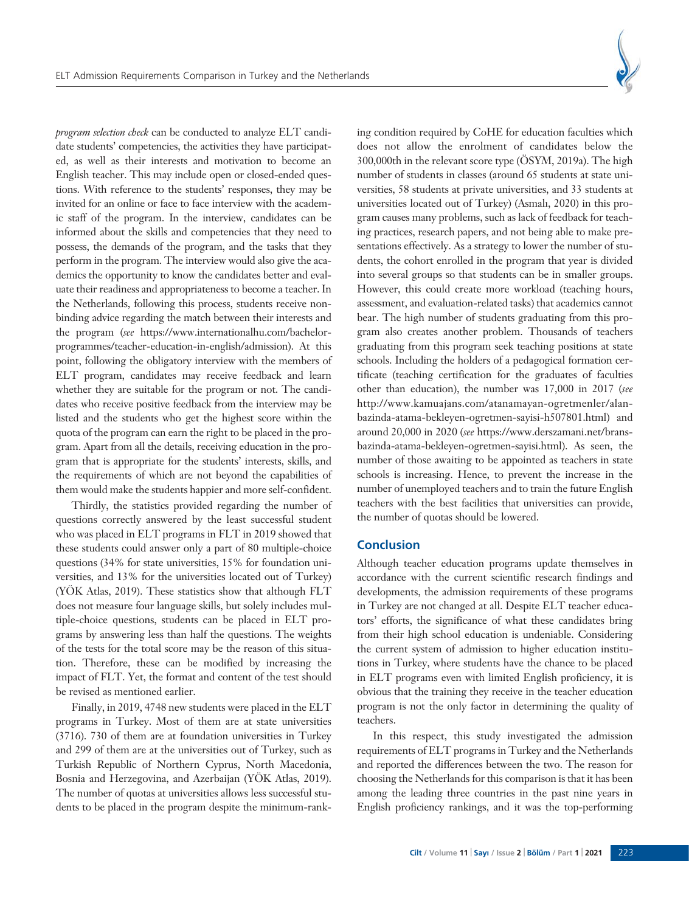

*program selection check* can be conducted to analyze ELT candidate students' competencies, the activities they have participated, as well as their interests and motivation to become an English teacher. This may include open or closed-ended questions. With reference to the students' responses, they may be invited for an online or face to face interview with the academic staff of the program. In the interview, candidates can be informed about the skills and competencies that they need to possess, the demands of the program, and the tasks that they perform in the program. The interview would also give the academics the opportunity to know the candidates better and evaluate their readiness and appropriateness to become a teacher. In the Netherlands, following this process, students receive nonbinding advice regarding the match between their interests and the program (*see* https://www.internationalhu.com/bachelorprogrammes/teacher-education-in-english/admission). At this point, following the obligatory interview with the members of ELT program, candidates may receive feedback and learn whether they are suitable for the program or not. The candidates who receive positive feedback from the interview may be listed and the students who get the highest score within the quota of the program can earn the right to be placed in the program. Apart from all the details, receiving education in the program that is appropriate for the students' interests, skills, and the requirements of which are not beyond the capabilities of them would make the students happier and more self-confident.

Thirdly, the statistics provided regarding the number of questions correctly answered by the least successful student who was placed in ELT programs in FLT in 2019 showed that these students could answer only a part of 80 multiple-choice questions (34% for state universities, 15% for foundation universities, and 13% for the universities located out of Turkey) (YÖK Atlas, 2019). These statistics show that although FLT does not measure four language skills, but solely includes multiple-choice questions, students can be placed in ELT programs by answering less than half the questions. The weights of the tests for the total score may be the reason of this situation. Therefore, these can be modified by increasing the impact of FLT. Yet, the format and content of the test should be revised as mentioned earlier.

Finally, in 2019, 4748 new students were placed in the ELT programs in Turkey. Most of them are at state universities (3716). 730 of them are at foundation universities in Turkey and 299 of them are at the universities out of Turkey, such as Turkish Republic of Northern Cyprus, North Macedonia, Bosnia and Herzegovina, and Azerbaijan (YÖK Atlas, 2019). The number of quotas at universities allows less successful students to be placed in the program despite the minimum-ranking condition required by CoHE for education faculties which does not allow the enrolment of candidates below the 300,000th in the relevant score type (ÖSYM, 2019a). The high number of students in classes (around 65 students at state universities, 58 students at private universities, and 33 students at universities located out of Turkey) (Asmalı, 2020) in this program causes many problems, such as lack of feedback for teaching practices, research papers, and not being able to make presentations effectively. As a strategy to lower the number of students, the cohort enrolled in the program that year is divided into several groups so that students can be in smaller groups. However, this could create more workload (teaching hours, assessment, and evaluation-related tasks) that academics cannot bear. The high number of students graduating from this program also creates another problem. Thousands of teachers graduating from this program seek teaching positions at state schools. Including the holders of a pedagogical formation certificate (teaching certification for the graduates of faculties other than education), the number was 17,000 in 2017 (*see* http://www.kamuajans.com/atanamayan-ogretmenler/alanbazinda-atama-bekleyen-ogretmen-sayisi-h507801.html) and around 20,000 in 2020 (*see* https://www.derszamani.net/bransbazinda-atama-bekleyen-ogretmen-sayisi.html). As seen, the number of those awaiting to be appointed as teachers in state schools is increasing. Hence, to prevent the increase in the number of unemployed teachers and to train the future English teachers with the best facilities that universities can provide, the number of quotas should be lowered.

#### **Conclusion**

Although teacher education programs update themselves in accordance with the current scientific research findings and developments, the admission requirements of these programs in Turkey are not changed at all. Despite ELT teacher educators' efforts, the significance of what these candidates bring from their high school education is undeniable. Considering the current system of admission to higher education institutions in Turkey, where students have the chance to be placed in ELT programs even with limited English proficiency, it is obvious that the training they receive in the teacher education program is not the only factor in determining the quality of teachers.

In this respect, this study investigated the admission requirements of ELT programs in Turkey and the Netherlands and reported the differences between the two. The reason for choosing the Netherlands for this comparison is that it has been among the leading three countries in the past nine years in English proficiency rankings, and it was the top-performing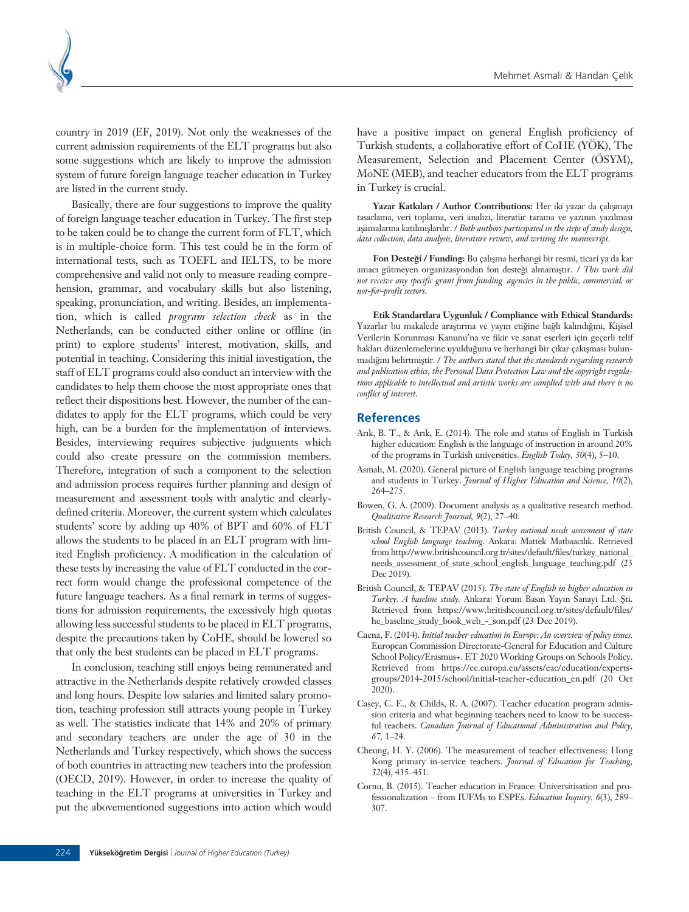country in 2019 (EF, 2019). Not only the weaknesses of the current admission requirements of the ELT programs but also some suggestions which are likely to improve the admission system of future foreign language teacher education in Turkey are listed in the current study.

Basically, there are four suggestions to improve the quality of foreign language teacher education in Turkey. The first step to be taken could be to change the current form of FLT, which is in multiple-choice form. This test could be in the form of international tests, such as TOEFL and IELTS, to be more comprehensive and valid not only to measure reading comprehension, grammar, and vocabulary skills but also listening, speaking, pronunciation, and writing. Besides, an implementation, which is called *program selection check* as in the Netherlands, can be conducted either online or offline (in print) to explore students' interest, motivation, skills, and potential in teaching. Considering this initial investigation, the staff of ELT programs could also conduct an interview with the candidates to help them choose the most appropriate ones that reflect their dispositions best. However, the number of the candidates to apply for the ELT programs, which could be very high, can be a burden for the implementation of interviews. Besides, interviewing requires subjective judgments which could also create pressure on the commission members. Therefore, integration of such a component to the selection and admission process requires further planning and design of measurement and assessment tools with analytic and clearlydefined criteria. Moreover, the current system which calculates students' score by adding up 40% of BPT and 60% of FLT allows the students to be placed in an ELT program with limited English proficiency. A modification in the calculation of these tests by increasing the value of FLT conducted in the correct form would change the professional competence of the future language teachers. As a final remark in terms of suggestions for admission requirements, the excessively high quotas allowing less successful students to be placed in ELT programs, despite the precautions taken by CoHE, should be lowered so that only the best students can be placed in ELT programs.

In conclusion, teaching still enjoys being remunerated and attractive in the Netherlands despite relatively crowded classes and long hours. Despite low salaries and limited salary promotion, teaching profession still attracts young people in Turkey as well. The statistics indicate that 14% and 20% of primary and secondary teachers are under the age of 30 in the Netherlands and Turkey respectively, which shows the success of both countries in attracting new teachers into the profession (OECD, 2019). However, in order to increase the quality of teaching in the ELT programs at universities in Turkey and put the abovementioned suggestions into action which would

have a positive impact on general English proficiency of Turkish students, a collaborative effort of CoHE (YÖK), The Measurement, Selection and Placement Center (ÖSYM), MoNE (MEB), and teacher educators from the ELT programs in Turkey is crucial.

Yazar Katkıları / Author Contributions: Her iki yazar da çalışmayı tasarlama, veri toplama, veri analizi, literatür tarama ve yazının yazılması aşamalarına katılmışlardır. / *Both authors participated in the steps of study design*, *data collection, data analysis, literature review, and writing the manuscript.*

Fon Desteği / Funding: Bu çalışma herhangi bir resmi, ticari ya da kar amacı gütmeyen organizasyondan fon desteği almamıştır. / This work did *not receive any specific grant from funding agencies in the public, commercial, or not-for-profit sectors.*

**Etik Standartlara Uygunluk / Compliance with Ethical Standards:** Yazarlar bu makalede araştırma ve yayın etiğine bağlı kalındığını, Kişisel Verilerin Korunması Kanunu'na ve fikir ve sanat eserleri için geçerli telif hakları düzenlemelerine uyulduğunu ve herhangi bir çıkar çakışması bulunmadığını belirtmiştir. / *The authors stated that the standards regarding research and publication ethics, the Personal Data Protection Law and the copyright regulations applicable to intellectual and artistic works are complied with and there is no conflict of interest.*

#### **References**

- Arık, B. T., & Arık, E. (2014). The role and status of English in Turkish higher education: English is the language of instruction in around 20% of the programs in Turkish universities. *English Today, 30*(4), 5–10.
- Asmalı, M. (2020). General picture of English language teaching programs and students in Turkey. *Journal of Higher Education and Science, 10*(2), 264–275.
- Bowen, G. A. (2009). Document analysis as a qualitative research method. *Qualitative Research Journal, 9*(2), 27–40.
- British Council, & TEPAV (2013). *Turkey national needs assessment of state* school English language teaching. Ankara: Mattek Matbaacılık. Retrieved from http://www.britishcouncil.org.tr/sites/default/files/turkey\_national\_ needs\_assessment\_of\_state\_school\_english\_language\_teaching.pdf (23 Dec 2019).
- British Council, & TEPAV (2015). *The state of English in higher education in* Turkey. A baseline study. Ankara: Yorum Basın Yayın Sanayi Ltd. Şti. Retrieved from https://www.britishcouncil.org.tr/sites/default/files/ he\_baseline\_study\_book\_web\_-\_son.pdf (23 Dec 2019).
- Caena, F. (2014). *Initial teacher education in Europe: An overview of policy issues.* European Commission Directorate-General for Education and Culture School Policy/Erasmus+. ET 2020 Working Groups on Schools Policy. Retrieved from https://ec.europa.eu/assets/eac/education/expertsgroups/2014-2015/school/initial-teacher-education\_en.pdf (20 Oct 2020).
- Casey, C. E., & Childs, R. A. (2007). Teacher education program admission criteria and what beginning teachers need to know to be successful teachers. *Canadian Journal of Educational Administration and Policy, 67,* 1–24.
- Cheung, H. Y. (2006). The measurement of teacher effectiveness: Hong Kong primary in-service teachers. *Journal of Education for Teaching, 32*(4), 435–451.
- Cornu, B. (2015). Teacher education in France: Universitisation and professionalization – from IUFMs to ESPEs. *Education Inquiry, 6*(3), 289– 307.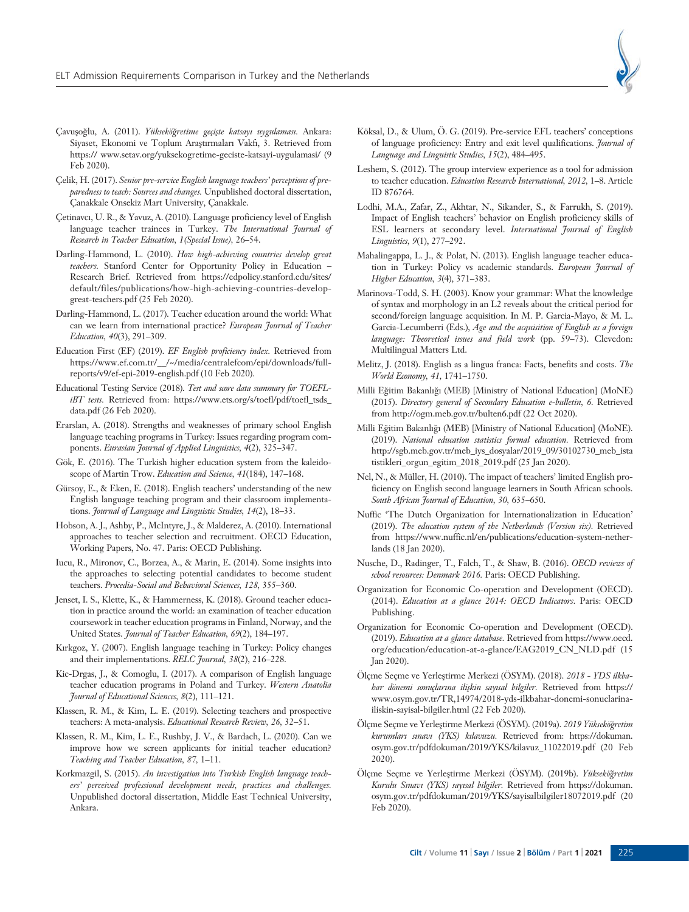

- Çavuşoğlu, A. (2011). *Yükseköğretime geçişte katsayı uygulaması*. Ankara: Siyaset, Ekonomi ve Toplum Arastırmaları Vakfı, 3. Retrieved from https:// www.setav.org/yuksekogretime-geciste-katsayi-uygulamasi/ (9 Feb 2020).
- Çelik, H. (2017). *Senior pre-service English language teachers' perceptions of preparedness to teach: Sources and changes.* Unpublished doctoral dissertation, Çanakkale Onsekiz Mart University, Çanakkale.
- Çetinavcı, U. R., & Yavuz, A. (2010). Language proficiency level of English language teacher trainees in Turkey. *The International Journal of Research in Teacher Education, 1(Special Issue),* 26–54.
- Darling-Hammond, L. (2010). *How high-achieving countries develop great teachers.* Stanford Center for Opportunity Policy in Education – Research Brief. Retrieved from https://edpolicy.stanford.edu/sites/ default/files/publications/how-high-achieving-countries-developgreat-teachers.pdf (25 Feb 2020).
- Darling-Hammond, L. (2017). Teacher education around the world: What can we learn from international practice? *European Journal of Teacher Education, 40*(3), 291–309.
- Education First (EF) (2019). *EF English proficiency index.* Retrieved from https://www.ef.com.tr/\_\_/~/media/centralefcom/epi/downloads/fullreports/v9/ef-epi-2019-english.pdf (10 Feb 2020).
- Educational Testing Service (2018). *Test and score data summary for TOEFLiBT tests.* Retrieved from: https://www.ets.org/s/toefl/pdf/toefl\_tsds\_ data.pdf (26 Feb 2020).
- Erarslan, A. (2018). Strengths and weaknesses of primary school English language teaching programs in Turkey: Issues regarding program components. *Eurasian Journal of Applied Linguistics, 4*(2), 325–347.
- Gök, E. (2016). The Turkish higher education system from the kaleidoscope of Martin Trow. *Education and Science, 41*(184), 147–168.
- Gürsoy, E., & Eken, E. (2018). English teachers' understanding of the new English language teaching program and their classroom implementations. *Journal of Language and Linguistic Studies, 14*(2), 18–33.
- Hobson, A. J., Ashby, P., McIntyre, J., & Malderez, A. (2010). International approaches to teacher selection and recruitment. OECD Education, Working Papers, No. 47. Paris: OECD Publishing.
- Iucu, R., Mironov, C., Borzea, A., & Marin, E. (2014). Some insights into the approaches to selecting potential candidates to become student teachers. *Procedia-Social and Behavioral Sciences, 128,* 355–360.
- Jenset, I. S., Klette, K., & Hammerness, K. (2018). Ground teacher education in practice around the world: an examination of teacher education coursework in teacher education programs in Finland, Norway, and the United States. *Journal of Teacher Education, 69*(2), 184–197.
- Kırkgoz, Y. (2007). English language teaching in Turkey: Policy changes and their implementations. *RELC Journal, 38*(2), 216–228.
- Kic-Drgas, J., & Comoglu, I. (2017). A comparison of English language teacher education programs in Poland and Turkey. *Western Anatolia Journal of Educational Sciences, 8*(2), 111–121.
- Klassen, R. M., & Kim, L. E. (2019). Selecting teachers and prospective teachers: A meta-analysis. *Educational Research Review, 26,* 32–51.
- Klassen, R. M., Kim, L. E., Rushby, J. V., & Bardach, L. (2020). Can we improve how we screen applicants for initial teacher education? *Teaching and Teacher Education, 87,* 1–11.
- Korkmazgil, S. (2015). *An investigation into Turkish English language teachers' perceived professional development needs, practices and challenges.* Unpublished doctoral dissertation, Middle East Technical University, Ankara.
- Köksal, D., & Ulum, Ö. G. (2019). Pre-service EFL teachers' conceptions of language proficiency: Entry and exit level qualifications. *Journal of Language and Linguistic Studies, 15*(2), 484–495.
- Leshem, S. (2012). The group interview experience as a tool for admission to teacher education. *Education Research International, 2012,* 1–8. Article ID 876764.
- Lodhi, M.A., Zafar, Z., Akhtar, N., Sikander, S., & Farrukh, S. (2019). Impact of English teachers' behavior on English proficiency skills of ESL learners at secondary level. *International Journal of English Linguistics, 9*(1), 277–292.
- Mahalingappa, L. J., & Polat, N. (2013). English language teacher education in Turkey: Policy vs academic standards. *European Journal of Higher Education, 3*(4), 371–383.
- Marinova-Todd, S. H. (2003). Know your grammar: What the knowledge of syntax and morphology in an L2 reveals about the critical period for second/foreign language acquisition. In M. P. Garcia-Mayo, & M. L. Garcia-Lecumberri (Eds.), *Age and the acquisition of English as a foreign language: Theoretical issues and field work* (pp. 59–73). Clevedon: Multilingual Matters Ltd.
- Melitz, J. (2018). English as a lingua franca: Facts, benefits and costs. *The World Economy, 41,* 1741–1750.
- Milli Eğitim Bakanlığı (MEB) [Ministry of National Education] (MoNE) (2015). *Directory general of Secondary Education e-bulletin, 6.* Retrieved from http://ogm.meb.gov.tr/bulten6.pdf (22 Oct 2020).
- Milli Eğitim Bakanlığı (MEB) [Ministry of National Education] (MoNE). (2019). *National education statistics formal education.* Retrieved from http://sgb.meb.gov.tr/meb\_iys\_dosyalar/2019\_09/30102730\_meb\_ista tistikleri\_orgun\_egitim\_2018\_2019.pdf (25 Jan 2020).
- Nel, N., & Müller, H. (2010). The impact of teachers' limited English proficiency on English second language learners in South African schools. *South African Journal of Education, 30,* 635–650.
- Nuffic 'The Dutch Organization for Internationalization in Education' (2019). *The education system of the Netherlands (Version six).* Retrieved from https://www.nuffic.nl/en/publications/education-system-netherlands (18 Jan 2020).
- Nusche, D., Radinger, T., Falch, T., & Shaw, B. (2016). *OECD reviews of school resources: Denmark 2016.* Paris: OECD Publishing.
- Organization for Economic Co-operation and Development (OECD). (2014). *Education at a glance 2014: OECD Indicators.* Paris: OECD Publishing.
- Organization for Economic Co-operation and Development (OECD). (2019). *Education at a glance database.* Retrieved from https://www.oecd. org/education/education-at-a-glance/EAG2019\_CN\_NLD.pdf (15 Jan 2020).
- Ölçme Seçme ve Yerleştirme Merkezi (ÖSYM). (2018). 2018 YDS ilkbahar dönemi sonuçlarına ilişkin sayısal bilgiler. Retrieved from https:// www.osym.gov.tr/TR,14974/2018-yds-ilkbahar-donemi-sonuclarinailiskin-sayisal-bilgiler.html (22 Feb 2020).
- Ölçme Seçme ve Yerlefltirme Merkezi (ÖSYM). (2019a). *2019 Yüksekö¤retim* kurumları smavı (YKS) kılavuzu. Retrieved from: https://dokuman. osym.gov.tr/pdfdokuman/2019/YKS/kilavuz\_11022019.pdf (20 Feb 2020).
- Ölçme Seçme ve Yerlefltirme Merkezi (ÖSYM). (2019b). *Yüksekö¤retim* Kurulu Sınavı (YKS) sayısal bilgiler. Retrieved from https://dokuman. osym.gov.tr/pdfdokuman/2019/YKS/sayisalbilgiler18072019.pdf (20 Feb 2020).